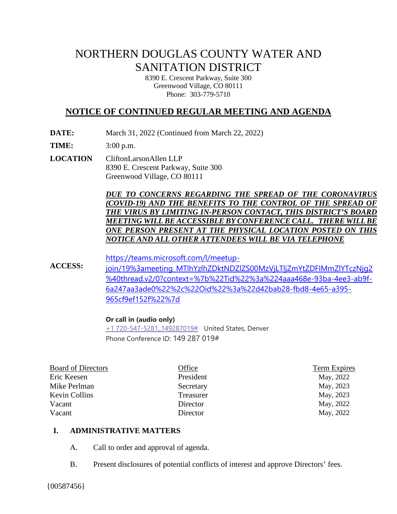# NORTHERN DOUGLAS COUNTY WATER AND SANITATION DISTRICT

8390 E. Crescent Parkway, Suite 300 Greenwood Village, CO 80111 Phone: 303-779-5710

# **NOTICE OF CONTINUED REGULAR MEETING AND AGENDA**

**DATE:** March 31, 2022 (Continued from March 22, 2022)

**TIME:** 3:00 p.m.

**LOCATION** CliftonLarsonAllen LLP 8390 E. Crescent Parkway, Suite 300 Greenwood Village, CO 80111

> *DUE TO CONCERNS REGARDING THE SPREAD OF THE CORONAVIRUS (COVID-19) AND THE BENEFITS TO THE CONTROL OF THE SPREAD OF THE VIRUS BY LIMITING IN-PERSON CONTACT, THIS DISTRICT'S BOARD MEETING WILL BE ACCESSIBLE BY CONFERENCE CALL. THERE WILLBE ONE PERSON PRESENT AT THE PHYSICAL LOCATION POSTED ON THIS NOTICE AND ALL OTHER ATTENDEES WILL BE VIA TELEPHONE*

**ACCESS:** [https://teams.microsoft.com/l/meetup](https://teams.microsoft.com/l/meetup-join/19%3ameeting_MTlhYzlhZDktNDZlZS00MzVjLTljZmYtZDFlMmZlYTczNjg2%40thread.v2/0?context=%7b%22Tid%22%3a%224aaa468e-93ba-4ee3-ab9f-6a247aa3ade0%22%2c%22Oid%22%3a%22d42bab28-fbd8-4e65-a395-965cf9ef152f%22%7d)[join/19%3ameeting\\_MTlhYzlhZDktNDZlZS00MzVjLTljZmYtZDFlMmZlYTczNjg2](https://teams.microsoft.com/l/meetup-join/19%3ameeting_MTlhYzlhZDktNDZlZS00MzVjLTljZmYtZDFlMmZlYTczNjg2%40thread.v2/0?context=%7b%22Tid%22%3a%224aaa468e-93ba-4ee3-ab9f-6a247aa3ade0%22%2c%22Oid%22%3a%22d42bab28-fbd8-4e65-a395-965cf9ef152f%22%7d) [%40thread.v2/0?context=%7b%22Tid%22%3a%224aaa468e-93ba-4ee3-ab9f-](https://teams.microsoft.com/l/meetup-join/19%3ameeting_MTlhYzlhZDktNDZlZS00MzVjLTljZmYtZDFlMmZlYTczNjg2%40thread.v2/0?context=%7b%22Tid%22%3a%224aaa468e-93ba-4ee3-ab9f-6a247aa3ade0%22%2c%22Oid%22%3a%22d42bab28-fbd8-4e65-a395-965cf9ef152f%22%7d)[6a247aa3ade0%22%2c%22Oid%22%3a%22d42bab28-fbd8-4e65-a395-](https://teams.microsoft.com/l/meetup-join/19%3ameeting_MTlhYzlhZDktNDZlZS00MzVjLTljZmYtZDFlMmZlYTczNjg2%40thread.v2/0?context=%7b%22Tid%22%3a%224aaa468e-93ba-4ee3-ab9f-6a247aa3ade0%22%2c%22Oid%22%3a%22d42bab28-fbd8-4e65-a395-965cf9ef152f%22%7d) [965cf9ef152f%22%7d](https://teams.microsoft.com/l/meetup-join/19%3ameeting_MTlhYzlhZDktNDZlZS00MzVjLTljZmYtZDFlMmZlYTczNjg2%40thread.v2/0?context=%7b%22Tid%22%3a%224aaa468e-93ba-4ee3-ab9f-6a247aa3ade0%22%2c%22Oid%22%3a%22d42bab28-fbd8-4e65-a395-965cf9ef152f%22%7d)

#### **Or call in (audio only)**

+1 720-547-5281, 149287019# United States, Denver Phone Conference ID: 149 287 019#

| <b>Board of Directors</b> | Office    | <b>Term Expires</b> |
|---------------------------|-----------|---------------------|
| Eric Keesen               | President | May, 2022           |
| Mike Perlman              | Secretary | May, 2023           |
| <b>Kevin Collins</b>      | Treasurer | May, 2023           |
| Vacant                    | Director  | May, 2022           |
| Vacant                    | Director  | May, 2022           |
|                           |           |                     |

#### **I. ADMINISTRATIVE MATTERS**

- A. Call to order and approval of agenda.
- B. Present disclosures of potential conflicts of interest and approve Directors' fees.